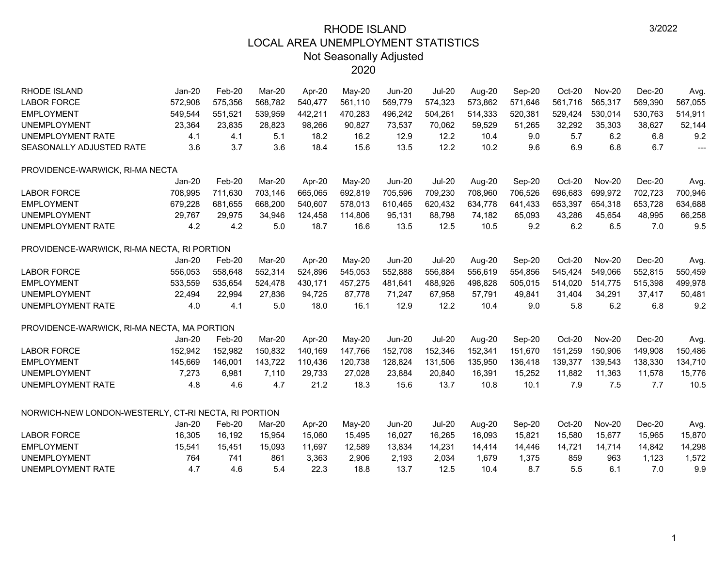| <b>RHODE ISLAND</b>                                  | Jan-20        | Feb-20  | Mar-20  | Apr-20  | May-20   | <b>Jun-20</b> | <b>Jul-20</b> | Aug-20  | Sep-20  | Oct-20  | <b>Nov-20</b> | Dec-20  | Avg                      |
|------------------------------------------------------|---------------|---------|---------|---------|----------|---------------|---------------|---------|---------|---------|---------------|---------|--------------------------|
| <b>LABOR FORCE</b>                                   | 572,908       | 575,356 | 568,782 | 540,477 | 561,110  | 569,779       | 574,323       | 573,862 | 571,646 | 561,716 | 565,317       | 569,390 | 567,055                  |
| <b>EMPLOYMENT</b>                                    | 549,544       | 551,521 | 539,959 | 442,211 | 470,283  | 496,242       | 504,261       | 514,333 | 520,381 | 529,424 | 530,014       | 530,763 | 514,911                  |
| <b>UNEMPLOYMENT</b>                                  | 23,364        | 23,835  | 28,823  | 98,266  | 90,827   | 73,537        | 70,062        | 59,529  | 51,265  | 32,292  | 35,303        | 38,627  | 52,144                   |
| UNEMPLOYMENT RATE                                    | 4.1           | 4.1     | 5.1     | 18.2    | 16.2     | 12.9          | 12.2          | 10.4    | 9.0     | 5.7     | 6.2           | 6.8     | 9.2                      |
| SEASONALLY ADJUSTED RATE                             | 3.6           | 3.7     | 3.6     | 18.4    | 15.6     | 13.5          | 12.2          | 10.2    | 9.6     | 6.9     | 6.8           | 6.7     | $\overline{\phantom{a}}$ |
| PROVIDENCE-WARWICK, RI-MA NECTA                      |               |         |         |         |          |               |               |         |         |         |               |         |                          |
|                                                      | Jan-20        | Feb-20  | Mar-20  | Apr-20  | $May-20$ | <b>Jun-20</b> | <b>Jul-20</b> | Aug-20  | Sep-20  | Oct-20  | <b>Nov-20</b> | Dec-20  | Avg.                     |
| <b>LABOR FORCE</b>                                   | 708,995       | 711,630 | 703,146 | 665,065 | 692,819  | 705,596       | 709,230       | 708,960 | 706,526 | 696,683 | 699,972       | 702,723 | 700,946                  |
| <b>EMPLOYMENT</b>                                    | 679,228       | 681,655 | 668,200 | 540,607 | 578,013  | 610,465       | 620,432       | 634,778 | 641,433 | 653,397 | 654,318       | 653,728 | 634,688                  |
| <b>UNEMPLOYMENT</b>                                  | 29,767        | 29,975  | 34,946  | 124,458 | 114,806  | 95,131        | 88,798        | 74,182  | 65,093  | 43,286  | 45,654        | 48,995  | 66,258                   |
| UNEMPLOYMENT RATE                                    | 4.2           | 4.2     | 5.0     | 18.7    | 16.6     | 13.5          | 12.5          | 10.5    | 9.2     | 6.2     | 6.5           | 7.0     | 9.5                      |
| PROVIDENCE-WARWICK, RI-MA NECTA, RI PORTION          |               |         |         |         |          |               |               |         |         |         |               |         |                          |
|                                                      | Jan-20        | Feb-20  | Mar-20  | Apr-20  | May-20   | <b>Jun-20</b> | <b>Jul-20</b> | Aug-20  | Sep-20  | Oct-20  | <b>Nov-20</b> | Dec-20  | Avg.                     |
| <b>LABOR FORCE</b>                                   | 556,053       | 558,648 | 552,314 | 524,896 | 545,053  | 552,888       | 556,884       | 556,619 | 554,856 | 545,424 | 549,066       | 552,815 | 550,459                  |
| <b>EMPLOYMENT</b>                                    | 533,559       | 535,654 | 524,478 | 430,171 | 457,275  | 481,641       | 488,926       | 498,828 | 505,015 | 514,020 | 514,775       | 515,398 | 499,978                  |
| <b>UNEMPLOYMENT</b>                                  | 22,494        | 22,994  | 27,836  | 94,725  | 87,778   | 71,247        | 67,958        | 57,791  | 49,841  | 31,404  | 34,291        | 37,417  | 50,481                   |
| UNEMPLOYMENT RATE                                    | 4.0           | 4.1     | 5.0     | 18.0    | 16.1     | 12.9          | 12.2          | 10.4    | 9.0     | 5.8     | 6.2           | 6.8     | 9.2                      |
| PROVIDENCE-WARWICK, RI-MA NECTA, MA PORTION          |               |         |         |         |          |               |               |         |         |         |               |         |                          |
|                                                      | <b>Jan-20</b> | Feb-20  | Mar-20  | Apr-20  | May-20   | <b>Jun-20</b> | <b>Jul-20</b> | Aug-20  | Sep-20  | Oct-20  | <b>Nov-20</b> | Dec-20  | Avg.                     |
| <b>LABOR FORCE</b>                                   | 152,942       | 152,982 | 150,832 | 140,169 | 147,766  | 152,708       | 152,346       | 152,341 | 151,670 | 151,259 | 150,906       | 149,908 | 150,486                  |
| <b>EMPLOYMENT</b>                                    | 145,669       | 146,001 | 143,722 | 110,436 | 120,738  | 128,824       | 131,506       | 135,950 | 136,418 | 139,377 | 139,543       | 138,330 | 134,710                  |
| <b>UNEMPLOYMENT</b>                                  | 7,273         | 6,981   | 7,110   | 29,733  | 27,028   | 23,884        | 20,840        | 16,391  | 15,252  | 11,882  | 11,363        | 11,578  | 15,776                   |
| UNEMPLOYMENT RATE                                    | 4.8           | 4.6     | 4.7     | 21.2    | 18.3     | 15.6          | 13.7          | 10.8    | 10.1    | 7.9     | 7.5           | 7.7     | 10.5                     |
| NORWICH-NEW LONDON-WESTERLY, CT-RI NECTA, RI PORTION |               |         |         |         |          |               |               |         |         |         |               |         |                          |
|                                                      | $Jan-20$      | Feb-20  | Mar-20  | Apr-20  | May-20   | <b>Jun-20</b> | <b>Jul-20</b> | Aug-20  | Sep-20  | Oct-20  | <b>Nov-20</b> | Dec-20  | Avg.                     |
| <b>LABOR FORCE</b>                                   | 16,305        | 16,192  | 15,954  | 15,060  | 15,495   | 16,027        | 16,265        | 16,093  | 15,821  | 15,580  | 15,677        | 15,965  | 15,870                   |
| <b>EMPLOYMENT</b>                                    | 15,541        | 15,451  | 15,093  | 11,697  | 12,589   | 13,834        | 14,231        | 14,414  | 14,446  | 14,721  | 14,714        | 14,842  | 14,298                   |
| <b>UNEMPLOYMENT</b>                                  | 764           | 741     | 861     | 3,363   | 2,906    | 2,193         | 2,034         | 1,679   | 1,375   | 859     | 963           | 1,123   | 1,572                    |
| <b>UNEMPLOYMENT RATE</b>                             | 4.7           | 4.6     | 5.4     | 22.3    | 18.8     | 13.7          | 12.5          | 10.4    | 8.7     | 5.5     | 6.1           | 7.0     | 9.9                      |
|                                                      |               |         |         |         |          |               |               |         |         |         |               |         |                          |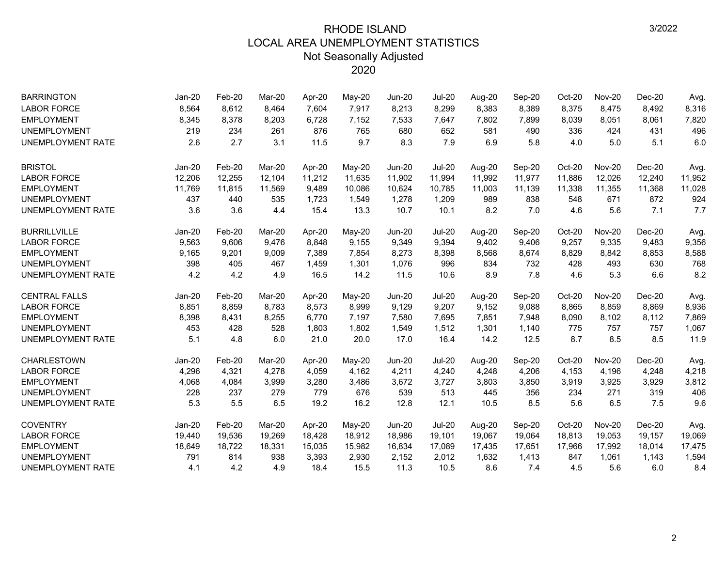| <b>BARRINGTON</b>        | $Jan-20$      | Feb-20 | Mar-20 | Apr-20 | May-20 | <b>Jun-20</b> | <b>Jul-20</b> | Aug-20 | Sep-20 | Oct-20 | <b>Nov-20</b> | $Dec-20$ | Avg.   |
|--------------------------|---------------|--------|--------|--------|--------|---------------|---------------|--------|--------|--------|---------------|----------|--------|
| <b>LABOR FORCE</b>       | 8,564         | 8,612  | 8,464  | 7,604  | 7,917  | 8,213         | 8,299         | 8,383  | 8,389  | 8,375  | 8,475         | 8,492    | 8,316  |
| <b>EMPLOYMENT</b>        | 8,345         | 8,378  | 8,203  | 6,728  | 7,152  | 7,533         | 7,647         | 7,802  | 7,899  | 8,039  | 8,051         | 8,061    | 7,820  |
| <b>UNEMPLOYMENT</b>      | 219           | 234    | 261    | 876    | 765    | 680           | 652           | 581    | 490    | 336    | 424           | 431      | 496    |
| <b>UNEMPLOYMENT RATE</b> | 2.6           | 2.7    | 3.1    | 11.5   | 9.7    | 8.3           | 7.9           | 6.9    | 5.8    | 4.0    | 5.0           | 5.1      | 6.0    |
| <b>BRISTOL</b>           | Jan-20        | Feb-20 | Mar-20 | Apr-20 | May-20 | <b>Jun-20</b> | <b>Jul-20</b> | Aug-20 | Sep-20 | Oct-20 | <b>Nov-20</b> | $Dec-20$ | Avg.   |
| <b>LABOR FORCE</b>       | 12,206        | 12,255 | 12,104 | 11,212 | 11,635 | 11,902        | 11,994        | 11,992 | 11,977 | 11,886 | 12,026        | 12,240   | 11,952 |
| <b>EMPLOYMENT</b>        | 11,769        | 11,815 | 11,569 | 9,489  | 10,086 | 10,624        | 10,785        | 11,003 | 11,139 | 11,338 | 11,355        | 11,368   | 11,028 |
| <b>UNEMPLOYMENT</b>      | 437           | 440    | 535    | 1,723  | 1,549  | 1,278         | 1,209         | 989    | 838    | 548    | 671           | 872      | 924    |
| <b>UNEMPLOYMENT RATE</b> | 3.6           | 3.6    | 4.4    | 15.4   | 13.3   | 10.7          | 10.1          | 8.2    | 7.0    | 4.6    | 5.6           | 7.1      | 7.7    |
| <b>BURRILLVILLE</b>      | <b>Jan-20</b> | Feb-20 | Mar-20 | Apr-20 | May-20 | <b>Jun-20</b> | <b>Jul-20</b> | Aug-20 | Sep-20 | Oct-20 | <b>Nov-20</b> | $Dec-20$ | Avg.   |
| <b>LABOR FORCE</b>       | 9,563         | 9,606  | 9,476  | 8,848  | 9,155  | 9,349         | 9,394         | 9,402  | 9,406  | 9,257  | 9,335         | 9,483    | 9,356  |
| <b>EMPLOYMENT</b>        | 9,165         | 9,201  | 9.009  | 7,389  | 7,854  | 8,273         | 8,398         | 8,568  | 8,674  | 8,829  | 8,842         | 8,853    | 8,588  |
| <b>UNEMPLOYMENT</b>      | 398           | 405    | 467    | 1,459  | 1,301  | 1,076         | 996           | 834    | 732    | 428    | 493           | 630      | 768    |
| <b>UNEMPLOYMENT RATE</b> | 4.2           | 4.2    | 4.9    | 16.5   | 14.2   | 11.5          | 10.6          | 8.9    | 7.8    | 4.6    | 5.3           | 6.6      | 8.2    |
| <b>CENTRAL FALLS</b>     | <b>Jan-20</b> | Feb-20 | Mar-20 | Apr-20 | May-20 | <b>Jun-20</b> | <b>Jul-20</b> | Aug-20 | Sep-20 | Oct-20 | <b>Nov-20</b> | $Dec-20$ | Avg.   |
| <b>LABOR FORCE</b>       | 8,851         | 8,859  | 8.783  | 8,573  | 8,999  | 9,129         | 9,207         | 9,152  | 9,088  | 8,865  | 8,859         | 8,869    | 8,936  |
| <b>EMPLOYMENT</b>        | 8,398         | 8,431  | 8,255  | 6,770  | 7,197  | 7,580         | 7,695         | 7,851  | 7,948  | 8,090  | 8,102         | 8,112    | 7,869  |
| <b>UNEMPLOYMENT</b>      | 453           | 428    | 528    | 1,803  | 1,802  | 1,549         | 1,512         | 1,301  | 1,140  | 775    | 757           | 757      | 1,067  |
| <b>UNEMPLOYMENT RATE</b> | 5.1           | 4.8    | 6.0    | 21.0   | 20.0   | 17.0          | 16.4          | 14.2   | 12.5   | 8.7    | 8.5           | 8.5      | 11.9   |
| <b>CHARLESTOWN</b>       | Jan-20        | Feb-20 | Mar-20 | Apr-20 | May-20 | <b>Jun-20</b> | <b>Jul-20</b> | Aug-20 | Sep-20 | Oct-20 | <b>Nov-20</b> | $Dec-20$ | Avg.   |
| <b>LABOR FORCE</b>       | 4,296         | 4,321  | 4,278  | 4,059  | 4,162  | 4,211         | 4,240         | 4,248  | 4,206  | 4,153  | 4,196         | 4,248    | 4,218  |
| <b>EMPLOYMENT</b>        | 4,068         | 4,084  | 3,999  | 3,280  | 3,486  | 3,672         | 3,727         | 3,803  | 3,850  | 3,919  | 3,925         | 3,929    | 3,812  |
| <b>UNEMPLOYMENT</b>      | 228           | 237    | 279    | 779    | 676    | 539           | 513           | 445    | 356    | 234    | 271           | 319      | 406    |
| UNEMPLOYMENT RATE        | 5.3           | 5.5    | 6.5    | 19.2   | 16.2   | 12.8          | 12.1          | 10.5   | 8.5    | 5.6    | 6.5           | 7.5      | 9.6    |
| <b>COVENTRY</b>          | $Jan-20$      | Feb-20 | Mar-20 | Apr-20 | May-20 | <b>Jun-20</b> | <b>Jul-20</b> | Aug-20 | Sep-20 | Oct-20 | <b>Nov-20</b> | $Dec-20$ | Avg.   |
| <b>LABOR FORCE</b>       | 19,440        | 19,536 | 19,269 | 18,428 | 18,912 | 18,986        | 19,101        | 19,067 | 19,064 | 18,813 | 19,053        | 19,157   | 19,069 |
| <b>EMPLOYMENT</b>        | 18,649        | 18,722 | 18,331 | 15,035 | 15,982 | 16,834        | 17,089        | 17,435 | 17,651 | 17,966 | 17,992        | 18,014   | 17,475 |
| <b>UNEMPLOYMENT</b>      | 791           | 814    | 938    | 3,393  | 2,930  | 2,152         | 2,012         | 1,632  | 1,413  | 847    | 1,061         | 1,143    | 1,594  |
| <b>UNEMPLOYMENT RATE</b> | 4.1           | 4.2    | 4.9    | 18.4   | 15.5   | 11.3          | 10.5          | 8.6    | 7.4    | 4.5    | 5.6           | 6.0      | 8.4    |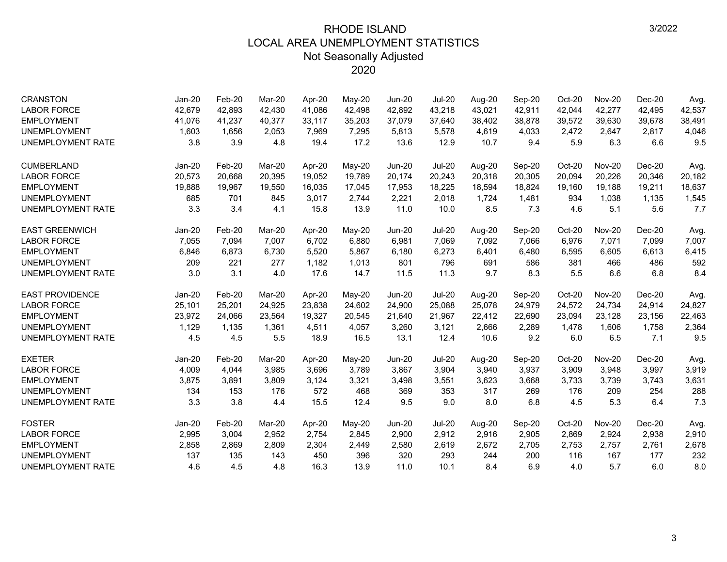| <b>CRANSTON</b>          | $Jan-20$ | Feb-20 | Mar-20 | Apr-20 | May-20   | <b>Jun-20</b> | <b>Jul-20</b> | Aug-20 | Sep-20 | Oct-20 | <b>Nov-20</b> | $Dec-20$ | Avg.   |
|--------------------------|----------|--------|--------|--------|----------|---------------|---------------|--------|--------|--------|---------------|----------|--------|
| <b>LABOR FORCE</b>       | 42,679   | 42,893 | 42,430 | 41,086 | 42,498   | 42,892        | 43,218        | 43,021 | 42,911 | 42,044 | 42,277        | 42,495   | 42,537 |
| <b>EMPLOYMENT</b>        | 41,076   | 41,237 | 40,377 | 33,117 | 35,203   | 37,079        | 37,640        | 38,402 | 38,878 | 39,572 | 39,630        | 39,678   | 38,491 |
| <b>UNEMPLOYMENT</b>      | 1,603    | 1,656  | 2,053  | 7,969  | 7,295    | 5,813         | 5,578         | 4,619  | 4,033  | 2,472  | 2,647         | 2,817    | 4,046  |
| <b>UNEMPLOYMENT RATE</b> | 3.8      | 3.9    | 4.8    | 19.4   | 17.2     | 13.6          | 12.9          | 10.7   | 9.4    | 5.9    | 6.3           | 6.6      | 9.5    |
| <b>CUMBERLAND</b>        | Jan-20   | Feb-20 | Mar-20 | Apr-20 | $May-20$ | <b>Jun-20</b> | <b>Jul-20</b> | Aug-20 | Sep-20 | Oct-20 | <b>Nov-20</b> | Dec-20   | Avg.   |
| <b>LABOR FORCE</b>       | 20,573   | 20,668 | 20,395 | 19,052 | 19,789   | 20,174        | 20,243        | 20,318 | 20,305 | 20,094 | 20,226        | 20,346   | 20,182 |
| <b>EMPLOYMENT</b>        | 19,888   | 19,967 | 19,550 | 16,035 | 17,045   | 17,953        | 18,225        | 18,594 | 18,824 | 19,160 | 19.188        | 19,211   | 18,637 |
| <b>UNEMPLOYMENT</b>      | 685      | 701    | 845    | 3,017  | 2,744    | 2,221         | 2,018         | 1,724  | 1,481  | 934    | 1,038         | 1,135    | 1,545  |
| <b>UNEMPLOYMENT RATE</b> | 3.3      | 3.4    | 4.1    | 15.8   | 13.9     | 11.0          | 10.0          | 8.5    | 7.3    | 4.6    | 5.1           | 5.6      | 7.7    |
| <b>EAST GREENWICH</b>    | Jan-20   | Feb-20 | Mar-20 | Apr-20 | May-20   | <b>Jun-20</b> | <b>Jul-20</b> | Aug-20 | Sep-20 | Oct-20 | <b>Nov-20</b> | $Dec-20$ | Avg.   |
| <b>LABOR FORCE</b>       | 7,055    | 7,094  | 7,007  | 6,702  | 6,880    | 6,981         | 7,069         | 7,092  | 7,066  | 6,976  | 7,071         | 7,099    | 7,007  |
| <b>EMPLOYMENT</b>        | 6,846    | 6,873  | 6,730  | 5,520  | 5,867    | 6,180         | 6,273         | 6,401  | 6,480  | 6,595  | 6,605         | 6,613    | 6,415  |
| <b>UNEMPLOYMENT</b>      | 209      | 221    | 277    | 1,182  | 1,013    | 801           | 796           | 691    | 586    | 381    | 466           | 486      | 592    |
| <b>UNEMPLOYMENT RATE</b> | 3.0      | 3.1    | 4.0    | 17.6   | 14.7     | 11.5          | 11.3          | 9.7    | 8.3    | 5.5    | 6.6           | 6.8      | 8.4    |
| <b>EAST PROVIDENCE</b>   | Jan-20   | Feb-20 | Mar-20 | Apr-20 | May-20   | <b>Jun-20</b> | <b>Jul-20</b> | Aug-20 | Sep-20 | Oct-20 | <b>Nov-20</b> | $Dec-20$ | Avg.   |
| <b>LABOR FORCE</b>       | 25,101   | 25,201 | 24,925 | 23,838 | 24,602   | 24,900        | 25,088        | 25,078 | 24,979 | 24,572 | 24,734        | 24,914   | 24,827 |
| <b>EMPLOYMENT</b>        | 23,972   | 24,066 | 23,564 | 19,327 | 20,545   | 21,640        | 21,967        | 22,412 | 22,690 | 23,094 | 23,128        | 23,156   | 22,463 |
| <b>UNEMPLOYMENT</b>      | 1,129    | 1,135  | 1,361  | 4,511  | 4,057    | 3,260         | 3,121         | 2,666  | 2,289  | 1,478  | 1,606         | 1,758    | 2,364  |
| <b>UNEMPLOYMENT RATE</b> | 4.5      | 4.5    | 5.5    | 18.9   | 16.5     | 13.1          | 12.4          | 10.6   | 9.2    | 6.0    | 6.5           | 7.1      | 9.5    |
| <b>EXETER</b>            | Jan-20   | Feb-20 | Mar-20 | Apr-20 | May-20   | <b>Jun-20</b> | <b>Jul-20</b> | Aug-20 | Sep-20 | Oct-20 | <b>Nov-20</b> | $Dec-20$ | Avg.   |
| <b>LABOR FORCE</b>       | 4,009    | 4,044  | 3,985  | 3,696  | 3,789    | 3,867         | 3,904         | 3,940  | 3,937  | 3,909  | 3,948         | 3,997    | 3,919  |
| <b>EMPLOYMENT</b>        | 3,875    | 3,891  | 3,809  | 3,124  | 3,321    | 3,498         | 3,551         | 3,623  | 3,668  | 3,733  | 3,739         | 3,743    | 3,631  |
| <b>UNEMPLOYMENT</b>      | 134      | 153    | 176    | 572    | 468      | 369           | 353           | 317    | 269    | 176    | 209           | 254      | 288    |
| <b>UNEMPLOYMENT RATE</b> | 3.3      | 3.8    | 4.4    | 15.5   | 12.4     | 9.5           | 9.0           | 8.0    | 6.8    | 4.5    | 5.3           | 6.4      | 7.3    |
| <b>FOSTER</b>            | Jan-20   | Feb-20 | Mar-20 | Apr-20 | May-20   | <b>Jun-20</b> | <b>Jul-20</b> | Aug-20 | Sep-20 | Oct-20 | <b>Nov-20</b> | $Dec-20$ | Avg.   |
| <b>LABOR FORCE</b>       | 2,995    | 3,004  | 2,952  | 2,754  | 2,845    | 2,900         | 2,912         | 2,916  | 2,905  | 2,869  | 2,924         | 2,938    | 2,910  |
| <b>EMPLOYMENT</b>        | 2,858    | 2,869  | 2,809  | 2,304  | 2,449    | 2,580         | 2,619         | 2,672  | 2,705  | 2,753  | 2,757         | 2,761    | 2,678  |
| <b>UNEMPLOYMENT</b>      | 137      | 135    | 143    | 450    | 396      | 320           | 293           | 244    | 200    | 116    | 167           | 177      | 232    |
| <b>UNEMPLOYMENT RATE</b> | 4.6      | 4.5    | 4.8    | 16.3   | 13.9     | 11.0          | 10.1          | 8.4    | 6.9    | 4.0    | 5.7           | 6.0      | 8.0    |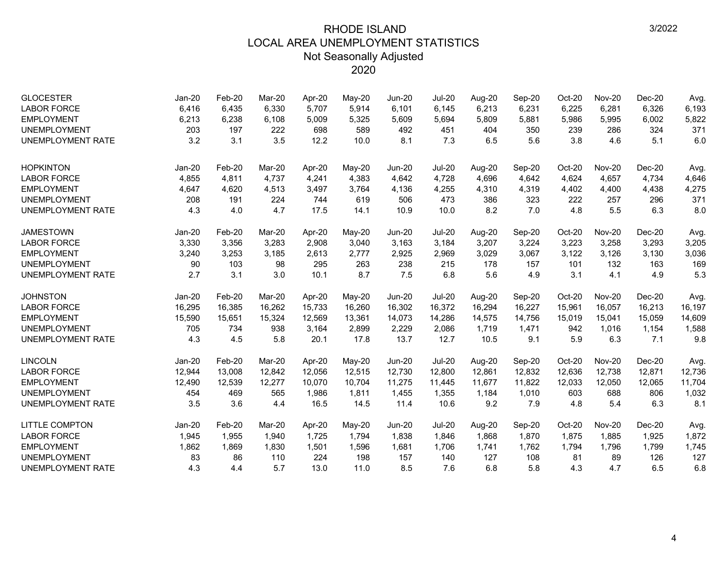| <b>GLOCESTER</b>         | Jan-20   | Feb-20 | Mar-20 | Apr-20 | May-20 | $Jun-20$      | <b>Jul-20</b> | Aug-20 | Sep-20 | Oct-20 | <b>Nov-20</b> | $Dec-20$ | Avg.   |
|--------------------------|----------|--------|--------|--------|--------|---------------|---------------|--------|--------|--------|---------------|----------|--------|
| <b>LABOR FORCE</b>       | 6,416    | 6,435  | 6,330  | 5,707  | 5,914  | 6,101         | 6,145         | 6,213  | 6,231  | 6,225  | 6,281         | 6,326    | 6,193  |
| <b>EMPLOYMENT</b>        | 6,213    | 6,238  | 6,108  | 5,009  | 5,325  | 5,609         | 5,694         | 5,809  | 5,881  | 5,986  | 5,995         | 6,002    | 5,822  |
| <b>UNEMPLOYMENT</b>      | 203      | 197    | 222    | 698    | 589    | 492           | 451           | 404    | 350    | 239    | 286           | 324      | 371    |
| <b>UNEMPLOYMENT RATE</b> | 3.2      | 3.1    | 3.5    | 12.2   | 10.0   | 8.1           | 7.3           | 6.5    | 5.6    | 3.8    | 4.6           | 5.1      | 6.0    |
| <b>HOPKINTON</b>         | Jan-20   | Feb-20 | Mar-20 | Apr-20 | May-20 | <b>Jun-20</b> | <b>Jul-20</b> | Aug-20 | Sep-20 | Oct-20 | <b>Nov-20</b> | $Dec-20$ | Avg.   |
| <b>LABOR FORCE</b>       | 4,855    | 4,811  | 4,737  | 4,241  | 4,383  | 4,642         | 4,728         | 4,696  | 4,642  | 4,624  | 4,657         | 4,734    | 4,646  |
| <b>EMPLOYMENT</b>        | 4,647    | 4,620  | 4,513  | 3,497  | 3,764  | 4,136         | 4,255         | 4,310  | 4,319  | 4,402  | 4,400         | 4,438    | 4,275  |
| <b>UNEMPLOYMENT</b>      | 208      | 191    | 224    | 744    | 619    | 506           | 473           | 386    | 323    | 222    | 257           | 296      | 371    |
| <b>UNEMPLOYMENT RATE</b> | 4.3      | 4.0    | 4.7    | 17.5   | 14.1   | 10.9          | 10.0          | 8.2    | 7.0    | 4.8    | 5.5           | 6.3      | 8.0    |
| <b>JAMESTOWN</b>         | Jan-20   | Feb-20 | Mar-20 | Apr-20 | May-20 | <b>Jun-20</b> | <b>Jul-20</b> | Aug-20 | Sep-20 | Oct-20 | <b>Nov-20</b> | $Dec-20$ | Avg.   |
| <b>LABOR FORCE</b>       | 3,330    | 3,356  | 3,283  | 2,908  | 3,040  | 3,163         | 3,184         | 3,207  | 3,224  | 3,223  | 3,258         | 3,293    | 3,205  |
| <b>EMPLOYMENT</b>        | 3,240    | 3,253  | 3,185  | 2,613  | 2,777  | 2,925         | 2,969         | 3,029  | 3,067  | 3,122  | 3,126         | 3,130    | 3,036  |
| <b>UNEMPLOYMENT</b>      | 90       | 103    | 98     | 295    | 263    | 238           | 215           | 178    | 157    | 101    | 132           | 163      | 169    |
| <b>UNEMPLOYMENT RATE</b> | 2.7      | 3.1    | 3.0    | 10.1   | 8.7    | 7.5           | 6.8           | 5.6    | 4.9    | 3.1    | 4.1           | 4.9      | 5.3    |
| <b>JOHNSTON</b>          | $Jan-20$ | Feb-20 | Mar-20 | Apr-20 | May-20 | <b>Jun-20</b> | <b>Jul-20</b> | Aug-20 | Sep-20 | Oct-20 | <b>Nov-20</b> | $Dec-20$ | Avg.   |
| <b>LABOR FORCE</b>       | 16,295   | 16,385 | 16,262 | 15,733 | 16,260 | 16,302        | 16,372        | 16,294 | 16,227 | 15,961 | 16,057        | 16,213   | 16,197 |
| <b>EMPLOYMENT</b>        | 15,590   | 15,651 | 15,324 | 12,569 | 13,361 | 14,073        | 14,286        | 14,575 | 14,756 | 15,019 | 15,041        | 15,059   | 14,609 |
| <b>UNEMPLOYMENT</b>      | 705      | 734    | 938    | 3,164  | 2,899  | 2,229         | 2,086         | 1,719  | 1,471  | 942    | 1,016         | 1,154    | 1,588  |
| <b>UNEMPLOYMENT RATE</b> | 4.3      | 4.5    | 5.8    | 20.1   | 17.8   | 13.7          | 12.7          | 10.5   | 9.1    | 5.9    | 6.3           | 7.1      | 9.8    |
| <b>LINCOLN</b>           | Jan-20   | Feb-20 | Mar-20 | Apr-20 | May-20 | <b>Jun-20</b> | <b>Jul-20</b> | Aug-20 | Sep-20 | Oct-20 | <b>Nov-20</b> | $Dec-20$ | Avg.   |
| <b>LABOR FORCE</b>       | 12,944   | 13,008 | 12,842 | 12,056 | 12,515 | 12,730        | 12,800        | 12,861 | 12,832 | 12,636 | 12,738        | 12,871   | 12,736 |
| <b>EMPLOYMENT</b>        | 12,490   | 12,539 | 12,277 | 10,070 | 10,704 | 11,275        | 11,445        | 11,677 | 11,822 | 12,033 | 12,050        | 12,065   | 11,704 |
| <b>UNEMPLOYMENT</b>      | 454      | 469    | 565    | 1,986  | 1,811  | 1,455         | 1,355         | 1,184  | 1,010  | 603    | 688           | 806      | 1,032  |
| <b>UNEMPLOYMENT RATE</b> | 3.5      | 3.6    | 4.4    | 16.5   | 14.5   | 11.4          | 10.6          | 9.2    | 7.9    | 4.8    | 5.4           | 6.3      | 8.1    |
| LITTLE COMPTON           | Jan-20   | Feb-20 | Mar-20 | Apr-20 | May-20 | Jun-20        | <b>Jul-20</b> | Aug-20 | Sep-20 | Oct-20 | <b>Nov-20</b> | $Dec-20$ | Avg.   |
| <b>LABOR FORCE</b>       | 1,945    | 1,955  | 1,940  | 1,725  | 1,794  | 1,838         | 1,846         | 1,868  | 1,870  | 1,875  | 1,885         | 1,925    | 1,872  |
| <b>EMPLOYMENT</b>        | 1,862    | 1,869  | 1,830  | 1,501  | 1,596  | 1,681         | 1,706         | 1,741  | 1,762  | 1,794  | 1,796         | 1,799    | 1,745  |
| <b>UNEMPLOYMENT</b>      | 83       | 86     | 110    | 224    | 198    | 157           | 140           | 127    | 108    | 81     | 89            | 126      | 127    |
| <b>UNEMPLOYMENT RATE</b> | 4.3      | 4.4    | 5.7    | 13.0   | 11.0   | 8.5           | 7.6           | 6.8    | 5.8    | 4.3    | 4.7           | 6.5      | 6.8    |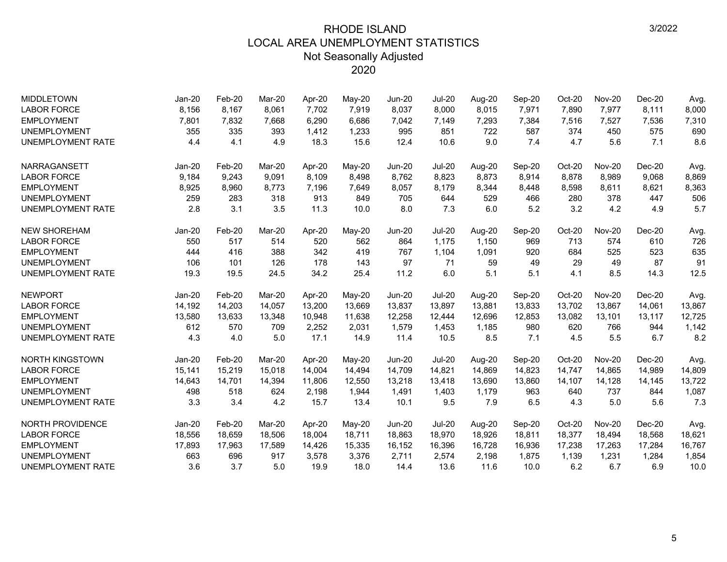| <b>MIDDLETOWN</b>        | $Jan-20$ | Feb-20 | Mar-20 | Apr-20 | $May-20$ | <b>Jun-20</b> | <b>Jul-20</b> | Aug-20 | Sep-20 | Oct-20 | <b>Nov-20</b> | $Dec-20$ | Avg.   |
|--------------------------|----------|--------|--------|--------|----------|---------------|---------------|--------|--------|--------|---------------|----------|--------|
| <b>LABOR FORCE</b>       | 8,156    | 8,167  | 8,061  | 7,702  | 7,919    | 8,037         | 8,000         | 8,015  | 7,971  | 7,890  | 7,977         | 8,111    | 8,000  |
| <b>EMPLOYMENT</b>        | 7,801    | 7,832  | 7,668  | 6,290  | 6,686    | 7,042         | 7,149         | 7,293  | 7,384  | 7,516  | 7,527         | 7,536    | 7,310  |
| <b>UNEMPLOYMENT</b>      | 355      | 335    | 393    | 1,412  | 1,233    | 995           | 851           | 722    | 587    | 374    | 450           | 575      | 690    |
| <b>UNEMPLOYMENT RATE</b> | 4.4      | 4.1    | 4.9    | 18.3   | 15.6     | 12.4          | 10.6          | 9.0    | 7.4    | 4.7    | 5.6           | 7.1      | 8.6    |
| <b>NARRAGANSETT</b>      | $Jan-20$ | Feb-20 | Mar-20 | Apr-20 | $May-20$ | <b>Jun-20</b> | <b>Jul-20</b> | Aug-20 | Sep-20 | Oct-20 | <b>Nov-20</b> | $Dec-20$ | Avg.   |
| <b>LABOR FORCE</b>       | 9,184    | 9,243  | 9.091  | 8.109  | 8,498    | 8,762         | 8,823         | 8.873  | 8,914  | 8,878  | 8,989         | 9,068    | 8,869  |
| <b>EMPLOYMENT</b>        | 8,925    | 8,960  | 8,773  | 7,196  | 7,649    | 8,057         | 8,179         | 8,344  | 8,448  | 8,598  | 8,611         | 8,621    | 8,363  |
| <b>UNEMPLOYMENT</b>      | 259      | 283    | 318    | 913    | 849      | 705           | 644           | 529    | 466    | 280    | 378           | 447      | 506    |
| <b>UNEMPLOYMENT RATE</b> | 2.8      | 3.1    | 3.5    | 11.3   | 10.0     | 8.0           | 7.3           | 6.0    | 5.2    | 3.2    | 4.2           | 4.9      | 5.7    |
| <b>NEW SHOREHAM</b>      | Jan-20   | Feb-20 | Mar-20 | Apr-20 | May-20   | <b>Jun-20</b> | <b>Jul-20</b> | Aug-20 | Sep-20 | Oct-20 | <b>Nov-20</b> | $Dec-20$ | Avg.   |
| <b>LABOR FORCE</b>       | 550      | 517    | 514    | 520    | 562      | 864           | 1,175         | 1,150  | 969    | 713    | 574           | 610      | 726    |
| <b>EMPLOYMENT</b>        | 444      | 416    | 388    | 342    | 419      | 767           | 1,104         | 1,091  | 920    | 684    | 525           | 523      | 635    |
| <b>UNEMPLOYMENT</b>      | 106      | 101    | 126    | 178    | 143      | 97            | 71            | 59     | 49     | 29     | 49            | 87       | 91     |
| <b>UNEMPLOYMENT RATE</b> | 19.3     | 19.5   | 24.5   | 34.2   | 25.4     | 11.2          | 6.0           | 5.1    | 5.1    | 4.1    | 8.5           | 14.3     | 12.5   |
| <b>NEWPORT</b>           | $Jan-20$ | Feb-20 | Mar-20 | Apr-20 | May-20   | <b>Jun-20</b> | <b>Jul-20</b> | Aug-20 | Sep-20 | Oct-20 | <b>Nov-20</b> | $Dec-20$ | Avg.   |
| <b>LABOR FORCE</b>       | 14,192   | 14,203 | 14,057 | 13,200 | 13,669   | 13,837        | 13,897        | 13,881 | 13,833 | 13,702 | 13,867        | 14,061   | 13,867 |
| <b>EMPLOYMENT</b>        | 13,580   | 13,633 | 13,348 | 10,948 | 11,638   | 12,258        | 12,444        | 12,696 | 12,853 | 13,082 | 13,101        | 13,117   | 12,725 |
| <b>UNEMPLOYMENT</b>      | 612      | 570    | 709    | 2,252  | 2,031    | 1,579         | 1,453         | 1,185  | 980    | 620    | 766           | 944      | 1,142  |
| <b>UNEMPLOYMENT RATE</b> | 4.3      | 4.0    | 5.0    | 17.1   | 14.9     | 11.4          | 10.5          | 8.5    | 7.1    | 4.5    | 5.5           | 6.7      | 8.2    |
| <b>NORTH KINGSTOWN</b>   | $Jan-20$ | Feb-20 | Mar-20 | Apr-20 | May-20   | <b>Jun-20</b> | <b>Jul-20</b> | Aug-20 | Sep-20 | Oct-20 | <b>Nov-20</b> | $Dec-20$ | Avg.   |
| <b>LABOR FORCE</b>       | 15,141   | 15,219 | 15,018 | 14,004 | 14,494   | 14,709        | 14,821        | 14,869 | 14,823 | 14,747 | 14,865        | 14,989   | 14,809 |
| <b>EMPLOYMENT</b>        | 14,643   | 14,701 | 14,394 | 11,806 | 12,550   | 13,218        | 13,418        | 13,690 | 13,860 | 14,107 | 14,128        | 14,145   | 13,722 |
| <b>UNEMPLOYMENT</b>      | 498      | 518    | 624    | 2,198  | 1,944    | 1,491         | 1,403         | 1,179  | 963    | 640    | 737           | 844      | 1,087  |
| <b>UNEMPLOYMENT RATE</b> | 3.3      | 3.4    | 4.2    | 15.7   | 13.4     | 10.1          | 9.5           | 7.9    | 6.5    | 4.3    | 5.0           | 5.6      | 7.3    |
| <b>NORTH PROVIDENCE</b>  | Jan-20   | Feb-20 | Mar-20 | Apr-20 | May-20   | <b>Jun-20</b> | <b>Jul-20</b> | Aug-20 | Sep-20 | Oct-20 | <b>Nov-20</b> | $Dec-20$ | Avg.   |
| <b>LABOR FORCE</b>       | 18,556   | 18,659 | 18,506 | 18,004 | 18,711   | 18,863        | 18,970        | 18,926 | 18,811 | 18,377 | 18,494        | 18,568   | 18,621 |
| <b>EMPLOYMENT</b>        | 17,893   | 17,963 | 17,589 | 14,426 | 15,335   | 16,152        | 16.396        | 16,728 | 16,936 | 17,238 | 17,263        | 17,284   | 16,767 |
| <b>UNEMPLOYMENT</b>      | 663      | 696    | 917    | 3,578  | 3,376    | 2,711         | 2,574         | 2,198  | 1,875  | 1,139  | 1,231         | 1,284    | 1,854  |
| <b>UNEMPLOYMENT RATE</b> | 3.6      | 3.7    | 5.0    | 19.9   | 18.0     | 14.4          | 13.6          | 11.6   | 10.0   | 6.2    | 6.7           | 6.9      | 10.0   |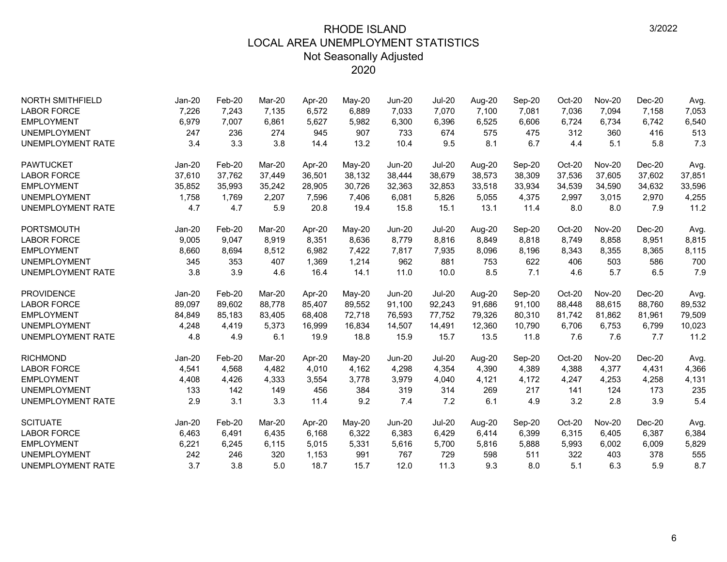| <b>NORTH SMITHFIELD</b>  | Jan-20   | Feb-20 | Mar-20 | Apr-20 | May-20 | <b>Jun-20</b> | <b>Jul-20</b> | Aug-20 | Sep-20 | Oct-20 | <b>Nov-20</b> | $Dec-20$ | Avg.   |
|--------------------------|----------|--------|--------|--------|--------|---------------|---------------|--------|--------|--------|---------------|----------|--------|
| <b>LABOR FORCE</b>       | 7,226    | 7,243  | 7,135  | 6,572  | 6,889  | 7,033         | 7,070         | 7,100  | 7,081  | 7,036  | 7,094         | 7,158    | 7,053  |
| <b>EMPLOYMENT</b>        | 6,979    | 7,007  | 6,861  | 5,627  | 5,982  | 6,300         | 6,396         | 6,525  | 6,606  | 6,724  | 6,734         | 6,742    | 6,540  |
| <b>UNEMPLOYMENT</b>      | 247      | 236    | 274    | 945    | 907    | 733           | 674           | 575    | 475    | 312    | 360           | 416      | 513    |
| <b>UNEMPLOYMENT RATE</b> | 3.4      | 3.3    | 3.8    | 14.4   | 13.2   | 10.4          | 9.5           | 8.1    | 6.7    | 4.4    | 5.1           | 5.8      | 7.3    |
| <b>PAWTUCKET</b>         | $Jan-20$ | Feb-20 | Mar-20 | Apr-20 | May-20 | Jun-20        | <b>Jul-20</b> | Aug-20 | Sep-20 | Oct-20 | <b>Nov-20</b> | $Dec-20$ | Avg.   |
| <b>LABOR FORCE</b>       | 37,610   | 37,762 | 37,449 | 36,501 | 38,132 | 38,444        | 38,679        | 38,573 | 38,309 | 37,536 | 37,605        | 37,602   | 37,851 |
| <b>EMPLOYMENT</b>        | 35,852   | 35,993 | 35,242 | 28,905 | 30,726 | 32,363        | 32,853        | 33,518 | 33,934 | 34,539 | 34,590        | 34,632   | 33,596 |
| <b>UNEMPLOYMENT</b>      | 1,758    | 1,769  | 2,207  | 7,596  | 7,406  | 6,081         | 5,826         | 5,055  | 4,375  | 2,997  | 3,015         | 2,970    | 4,255  |
| <b>UNEMPLOYMENT RATE</b> | 4.7      | 4.7    | 5.9    | 20.8   | 19.4   | 15.8          | 15.1          | 13.1   | 11.4   | 8.0    | 8.0           | 7.9      | 11.2   |
| <b>PORTSMOUTH</b>        | Jan-20   | Feb-20 | Mar-20 | Apr-20 | May-20 | <b>Jun-20</b> | <b>Jul-20</b> | Aug-20 | Sep-20 | Oct-20 | <b>Nov-20</b> | $Dec-20$ | Avg.   |
| <b>LABOR FORCE</b>       | 9,005    | 9,047  | 8,919  | 8,351  | 8,636  | 8,779         | 8,816         | 8,849  | 8,818  | 8,749  | 8,858         | 8,951    | 8,815  |
| <b>EMPLOYMENT</b>        | 8,660    | 8,694  | 8,512  | 6,982  | 7,422  | 7,817         | 7,935         | 8,096  | 8,196  | 8,343  | 8,355         | 8,365    | 8,115  |
| <b>UNEMPLOYMENT</b>      | 345      | 353    | 407    | 1,369  | 1,214  | 962           | 881           | 753    | 622    | 406    | 503           | 586      | 700    |
| <b>UNEMPLOYMENT RATE</b> | 3.8      | 3.9    | 4.6    | 16.4   | 14.1   | 11.0          | 10.0          | 8.5    | 7.1    | 4.6    | 5.7           | 6.5      | 7.9    |
| <b>PROVIDENCE</b>        | $Jan-20$ | Feb-20 | Mar-20 | Apr-20 | May-20 | $Jun-20$      | <b>Jul-20</b> | Aug-20 | Sep-20 | Oct-20 | <b>Nov-20</b> | $Dec-20$ | Avg.   |
| <b>LABOR FORCE</b>       | 89,097   | 89,602 | 88,778 | 85,407 | 89,552 | 91,100        | 92,243        | 91,686 | 91,100 | 88,448 | 88,615        | 88,760   | 89,532 |
| <b>EMPLOYMENT</b>        | 84,849   | 85,183 | 83,405 | 68,408 | 72,718 | 76,593        | 77,752        | 79,326 | 80,310 | 81,742 | 81,862        | 81,961   | 79,509 |
| <b>UNEMPLOYMENT</b>      | 4,248    | 4,419  | 5,373  | 16,999 | 16,834 | 14,507        | 14,491        | 12,360 | 10,790 | 6,706  | 6,753         | 6,799    | 10,023 |
| <b>UNEMPLOYMENT RATE</b> | 4.8      | 4.9    | 6.1    | 19.9   | 18.8   | 15.9          | 15.7          | 13.5   | 11.8   | 7.6    | 7.6           | 7.7      | 11.2   |
| <b>RICHMOND</b>          | Jan-20   | Feb-20 | Mar-20 | Apr-20 | May-20 | <b>Jun-20</b> | <b>Jul-20</b> | Aug-20 | Sep-20 | Oct-20 | <b>Nov-20</b> | Dec-20   | Avg.   |
| <b>LABOR FORCE</b>       | 4,541    | 4,568  | 4,482  | 4,010  | 4,162  | 4,298         | 4,354         | 4,390  | 4,389  | 4,388  | 4,377         | 4,431    | 4,366  |
| <b>EMPLOYMENT</b>        | 4,408    | 4,426  | 4,333  | 3,554  | 3,778  | 3,979         | 4,040         | 4,121  | 4,172  | 4,247  | 4,253         | 4,258    | 4,131  |
| <b>UNEMPLOYMENT</b>      | 133      | 142    | 149    | 456    | 384    | 319           | 314           | 269    | 217    | 141    | 124           | 173      | 235    |
| <b>UNEMPLOYMENT RATE</b> | 2.9      | 3.1    | 3.3    | 11.4   | 9.2    | 7.4           | 7.2           | 6.1    | 4.9    | 3.2    | 2.8           | 3.9      | 5.4    |
| <b>SCITUATE</b>          | Jan-20   | Feb-20 | Mar-20 | Apr-20 | May-20 | <b>Jun-20</b> | <b>Jul-20</b> | Aug-20 | Sep-20 | Oct-20 | <b>Nov-20</b> | $Dec-20$ | Avg.   |
| <b>LABOR FORCE</b>       | 6,463    | 6,491  | 6,435  | 6,168  | 6,322  | 6,383         | 6,429         | 6,414  | 6,399  | 6,315  | 6,405         | 6,387    | 6,384  |
| <b>EMPLOYMENT</b>        | 6,221    | 6,245  | 6,115  | 5,015  | 5,331  | 5,616         | 5,700         | 5,816  | 5,888  | 5,993  | 6,002         | 6,009    | 5,829  |
| <b>UNEMPLOYMENT</b>      | 242      | 246    | 320    | 1,153  | 991    | 767           | 729           | 598    | 511    | 322    | 403           | 378      | 555    |
| <b>UNEMPLOYMENT RATE</b> | 3.7      | 3.8    | 5.0    | 18.7   | 15.7   | 12.0          | 11.3          | 9.3    | 8.0    | 5.1    | 6.3           | 5.9      | 8.7    |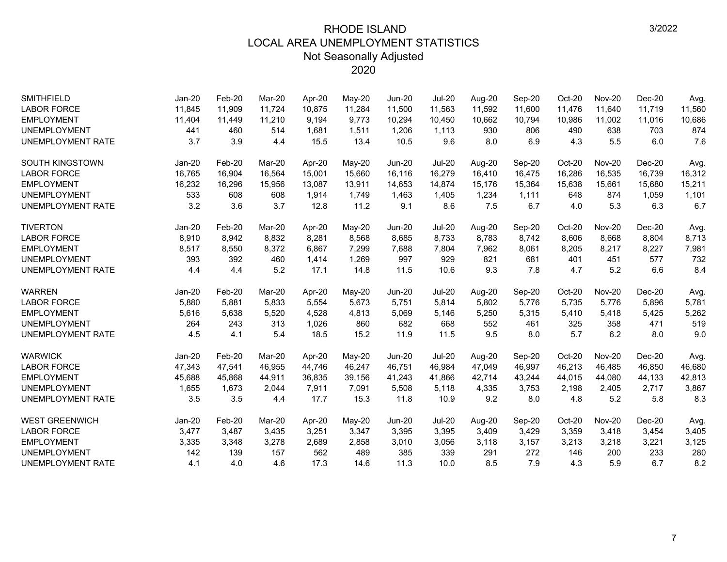| <b>SMITHFIELD</b>        | $Jan-20$ | Feb-20 | Mar-20 | Apr-20 | May-20   | <b>Jun-20</b> | <b>Jul-20</b> | Aug-20 | Sep-20 | Oct-20 | <b>Nov-20</b> | $Dec-20$ | Avg.   |
|--------------------------|----------|--------|--------|--------|----------|---------------|---------------|--------|--------|--------|---------------|----------|--------|
| <b>LABOR FORCE</b>       | 11,845   | 11,909 | 11.724 | 10,875 | 11,284   | 11,500        | 11,563        | 11,592 | 11,600 | 11,476 | 11,640        | 11,719   | 11,560 |
| <b>EMPLOYMENT</b>        | 11,404   | 11,449 | 11,210 | 9.194  | 9,773    | 10,294        | 10,450        | 10,662 | 10,794 | 10,986 | 11,002        | 11,016   | 10,686 |
| <b>UNEMPLOYMENT</b>      | 441      | 460    | 514    | 1,681  | 1,511    | 1,206         | 1,113         | 930    | 806    | 490    | 638           | 703      | 874    |
| <b>UNEMPLOYMENT RATE</b> | 3.7      | 3.9    | 4.4    | 15.5   | 13.4     | 10.5          | 9.6           | 8.0    | 6.9    | 4.3    | 5.5           | 6.0      | 7.6    |
| SOUTH KINGSTOWN          | Jan-20   | Feb-20 | Mar-20 | Apr-20 | May-20   | <b>Jun-20</b> | <b>Jul-20</b> | Aug-20 | Sep-20 | Oct-20 | <b>Nov-20</b> | Dec-20   | Avg.   |
| <b>LABOR FORCE</b>       | 16,765   | 16,904 | 16,564 | 15,001 | 15,660   | 16,116        | 16,279        | 16,410 | 16,475 | 16,286 | 16,535        | 16,739   | 16,312 |
| <b>EMPLOYMENT</b>        | 16,232   | 16,296 | 15,956 | 13,087 | 13,911   | 14,653        | 14,874        | 15,176 | 15,364 | 15,638 | 15,661        | 15,680   | 15,211 |
| <b>UNEMPLOYMENT</b>      | 533      | 608    | 608    | 1,914  | 1,749    | 1,463         | 1,405         | 1,234  | 1,111  | 648    | 874           | 1,059    | 1,101  |
| UNEMPLOYMENT RATE        | 3.2      | 3.6    | 3.7    | 12.8   | 11.2     | 9.1           | 8.6           | 7.5    | 6.7    | 4.0    | 5.3           | 6.3      | 6.7    |
| <b>TIVERTON</b>          | Jan-20   | Feb-20 | Mar-20 | Apr-20 | May-20   | <b>Jun-20</b> | <b>Jul-20</b> | Aug-20 | Sep-20 | Oct-20 | <b>Nov-20</b> | Dec-20   | Avg.   |
| <b>LABOR FORCE</b>       | 8,910    | 8,942  | 8,832  | 8,281  | 8,568    | 8,685         | 8,733         | 8,783  | 8,742  | 8,606  | 8,668         | 8,804    | 8,713  |
| <b>EMPLOYMENT</b>        | 8,517    | 8,550  | 8,372  | 6,867  | 7,299    | 7,688         | 7,804         | 7,962  | 8,061  | 8,205  | 8,217         | 8,227    | 7,981  |
| <b>UNEMPLOYMENT</b>      | 393      | 392    | 460    | 1,414  | 1,269    | 997           | 929           | 821    | 681    | 401    | 451           | 577      | 732    |
| <b>UNEMPLOYMENT RATE</b> | 4.4      | 4.4    | 5.2    | 17.1   | 14.8     | 11.5          | 10.6          | 9.3    | 7.8    | 4.7    | 5.2           | 6.6      | 8.4    |
| <b>WARREN</b>            | Jan-20   | Feb-20 | Mar-20 | Apr-20 | May-20   | <b>Jun-20</b> | <b>Jul-20</b> | Aug-20 | Sep-20 | Oct-20 | <b>Nov-20</b> | $Dec-20$ | Avg.   |
| <b>LABOR FORCE</b>       | 5,880    | 5,881  | 5,833  | 5,554  | 5,673    | 5,751         | 5,814         | 5,802  | 5,776  | 5,735  | 5,776         | 5,896    | 5,781  |
| <b>EMPLOYMENT</b>        | 5,616    | 5,638  | 5,520  | 4,528  | 4,813    | 5,069         | 5,146         | 5,250  | 5,315  | 5,410  | 5,418         | 5,425    | 5,262  |
| <b>UNEMPLOYMENT</b>      | 264      | 243    | 313    | 1,026  | 860      | 682           | 668           | 552    | 461    | 325    | 358           | 471      | 519    |
| <b>UNEMPLOYMENT RATE</b> | 4.5      | 4.1    | 5.4    | 18.5   | 15.2     | 11.9          | 11.5          | 9.5    | 8.0    | 5.7    | 6.2           | 8.0      | 9.0    |
| <b>WARWICK</b>           | $Jan-20$ | Feb-20 | Mar-20 | Apr-20 | $May-20$ | <b>Jun-20</b> | <b>Jul-20</b> | Aug-20 | Sep-20 | Oct-20 | <b>Nov-20</b> | $Dec-20$ | Avg.   |
| <b>LABOR FORCE</b>       | 47,343   | 47,541 | 46,955 | 44,746 | 46,247   | 46,751        | 46,984        | 47,049 | 46,997 | 46,213 | 46,485        | 46,850   | 46,680 |
| <b>EMPLOYMENT</b>        | 45,688   | 45,868 | 44,911 | 36,835 | 39,156   | 41,243        | 41,866        | 42,714 | 43,244 | 44,015 | 44,080        | 44,133   | 42,813 |
| <b>UNEMPLOYMENT</b>      | 1,655    | 1,673  | 2,044  | 7,911  | 7,091    | 5,508         | 5,118         | 4,335  | 3,753  | 2,198  | 2,405         | 2,717    | 3,867  |
| <b>UNEMPLOYMENT RATE</b> | 3.5      | 3.5    | 4.4    | 17.7   | 15.3     | 11.8          | 10.9          | 9.2    | 8.0    | 4.8    | 5.2           | 5.8      | 8.3    |
| <b>WEST GREENWICH</b>    | Jan-20   | Feb-20 | Mar-20 | Apr-20 | May-20   | <b>Jun-20</b> | <b>Jul-20</b> | Aug-20 | Sep-20 | Oct-20 | <b>Nov-20</b> | $Dec-20$ | Avg.   |
| <b>LABOR FORCE</b>       | 3,477    | 3,487  | 3,435  | 3,251  | 3,347    | 3,395         | 3,395         | 3,409  | 3,429  | 3,359  | 3,418         | 3,454    | 3,405  |
| <b>EMPLOYMENT</b>        | 3,335    | 3,348  | 3,278  | 2,689  | 2,858    | 3,010         | 3,056         | 3,118  | 3,157  | 3,213  | 3,218         | 3,221    | 3,125  |
| <b>UNEMPLOYMENT</b>      | 142      | 139    | 157    | 562    | 489      | 385           | 339           | 291    | 272    | 146    | 200           | 233      | 280    |
| <b>UNEMPLOYMENT RATE</b> | 4.1      | 4.0    | 4.6    | 17.3   | 14.6     | 11.3          | 10.0          | 8.5    | 7.9    | 4.3    | 5.9           | 6.7      | 8.2    |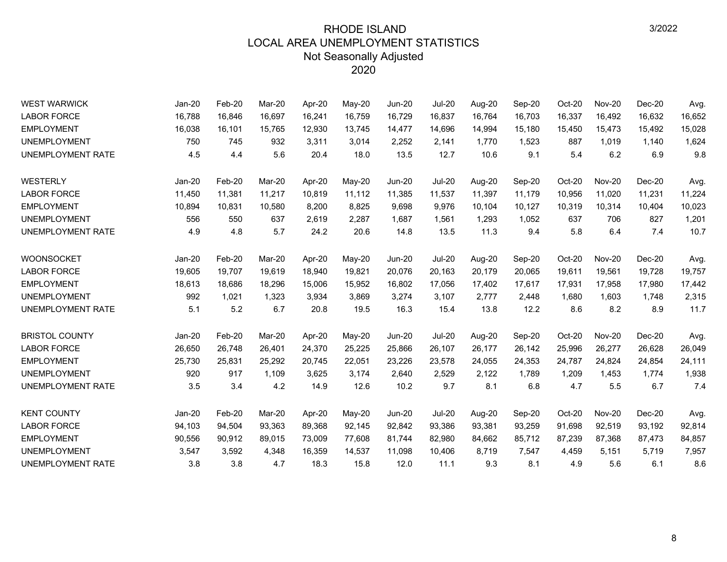| <b>WEST WARWICK</b>      | Jan-20   | Feb-20 | Mar-20 | Apr-20 | $May-20$ | <b>Jun-20</b> | <b>Jul-20</b> | Aug-20 | Sep-20 | Oct-20 | <b>Nov-20</b> | $Dec-20$ | Avg.   |
|--------------------------|----------|--------|--------|--------|----------|---------------|---------------|--------|--------|--------|---------------|----------|--------|
| <b>LABOR FORCE</b>       | 16,788   | 16,846 | 16,697 | 16,241 | 16,759   | 16,729        | 16,837        | 16,764 | 16,703 | 16,337 | 16,492        | 16,632   | 16,652 |
| <b>EMPLOYMENT</b>        | 16,038   | 16,101 | 15,765 | 12,930 | 13,745   | 14,477        | 14,696        | 14,994 | 15,180 | 15,450 | 15,473        | 15,492   | 15,028 |
| <b>UNEMPLOYMENT</b>      | 750      | 745    | 932    | 3,311  | 3,014    | 2,252         | 2,141         | 1,770  | 1,523  | 887    | 1,019         | 1,140    | 1,624  |
| <b>UNEMPLOYMENT RATE</b> | 4.5      | 4.4    | 5.6    | 20.4   | 18.0     | 13.5          | 12.7          | 10.6   | 9.1    | 5.4    | 6.2           | 6.9      | 9.8    |
| <b>WESTERLY</b>          | Jan-20   | Feb-20 | Mar-20 | Apr-20 | May-20   | <b>Jun-20</b> | <b>Jul-20</b> | Aug-20 | Sep-20 | Oct-20 | <b>Nov-20</b> | Dec-20   | Avg.   |
| <b>LABOR FORCE</b>       | 11,450   | 11,381 | 11,217 | 10,819 | 11,112   | 11,385        | 11,537        | 11,397 | 11,179 | 10,956 | 11,020        | 11,231   | 11,224 |
| <b>EMPLOYMENT</b>        | 10,894   | 10,831 | 10,580 | 8,200  | 8,825    | 9,698         | 9,976         | 10,104 | 10,127 | 10,319 | 10,314        | 10,404   | 10,023 |
| <b>UNEMPLOYMENT</b>      | 556      | 550    | 637    | 2,619  | 2,287    | 1.687         | 1,561         | 1,293  | 1,052  | 637    | 706           | 827      | 1,201  |
| UNEMPLOYMENT RATE        | 4.9      | 4.8    | 5.7    | 24.2   | 20.6     | 14.8          | 13.5          | 11.3   | 9.4    | 5.8    | 6.4           | 7.4      | 10.7   |
| <b>WOONSOCKET</b>        | Jan-20   | Feb-20 | Mar-20 | Apr-20 | May-20   | <b>Jun-20</b> | <b>Jul-20</b> | Aug-20 | Sep-20 | Oct-20 | <b>Nov-20</b> | $Dec-20$ | Avg.   |
| <b>LABOR FORCE</b>       | 19,605   | 19,707 | 19,619 | 18,940 | 19,821   | 20,076        | 20,163        | 20,179 | 20,065 | 19,611 | 19,561        | 19,728   | 19,757 |
| <b>EMPLOYMENT</b>        | 18,613   | 18,686 | 18,296 | 15,006 | 15,952   | 16,802        | 17,056        | 17,402 | 17,617 | 17,931 | 17,958        | 17,980   | 17,442 |
| <b>UNEMPLOYMENT</b>      | 992      | 1,021  | 1,323  | 3,934  | 3,869    | 3,274         | 3,107         | 2,777  | 2,448  | 1,680  | 1,603         | 1,748    | 2,315  |
| UNEMPLOYMENT RATE        | 5.1      | 5.2    | 6.7    | 20.8   | 19.5     | 16.3          | 15.4          | 13.8   | 12.2   | 8.6    | 8.2           | 8.9      | 11.7   |
| <b>BRISTOL COUNTY</b>    | Jan-20   | Feb-20 | Mar-20 | Apr-20 | May-20   | <b>Jun-20</b> | <b>Jul-20</b> | Aug-20 | Sep-20 | Oct-20 | <b>Nov-20</b> | Dec-20   | Avg.   |
| <b>LABOR FORCE</b>       | 26,650   | 26,748 | 26,401 | 24,370 | 25,225   | 25,866        | 26,107        | 26,177 | 26,142 | 25,996 | 26,277        | 26,628   | 26,049 |
| <b>EMPLOYMENT</b>        | 25,730   | 25,831 | 25,292 | 20,745 | 22,051   | 23,226        | 23,578        | 24,055 | 24,353 | 24.787 | 24,824        | 24,854   | 24,111 |
| <b>UNEMPLOYMENT</b>      | 920      | 917    | 1,109  | 3,625  | 3,174    | 2,640         | 2,529         | 2,122  | 1,789  | 1,209  | 1,453         | 1,774    | 1,938  |
| <b>UNEMPLOYMENT RATE</b> | 3.5      | 3.4    | 4.2    | 14.9   | 12.6     | 10.2          | 9.7           | 8.1    | 6.8    | 4.7    | 5.5           | 6.7      | 7.4    |
| <b>KENT COUNTY</b>       | $Jan-20$ | Feb-20 | Mar-20 | Apr-20 | May-20   | <b>Jun-20</b> | <b>Jul-20</b> | Aug-20 | Sep-20 | Oct-20 | <b>Nov-20</b> | Dec-20   | Avg.   |
| <b>LABOR FORCE</b>       | 94,103   | 94,504 | 93,363 | 89,368 | 92,145   | 92,842        | 93,386        | 93,381 | 93,259 | 91,698 | 92,519        | 93,192   | 92,814 |
| <b>EMPLOYMENT</b>        | 90,556   | 90,912 | 89,015 | 73.009 | 77,608   | 81.744        | 82,980        | 84,662 | 85,712 | 87,239 | 87,368        | 87,473   | 84,857 |
| <b>UNEMPLOYMENT</b>      | 3,547    | 3,592  | 4,348  | 16,359 | 14,537   | 11,098        | 10,406        | 8,719  | 7,547  | 4,459  | 5,151         | 5,719    | 7,957  |
| UNEMPLOYMENT RATE        | 3.8      | 3.8    | 4.7    | 18.3   | 15.8     | 12.0          | 11.1          | 9.3    | 8.1    | 4.9    | 5.6           | 6.1      | 8.6    |